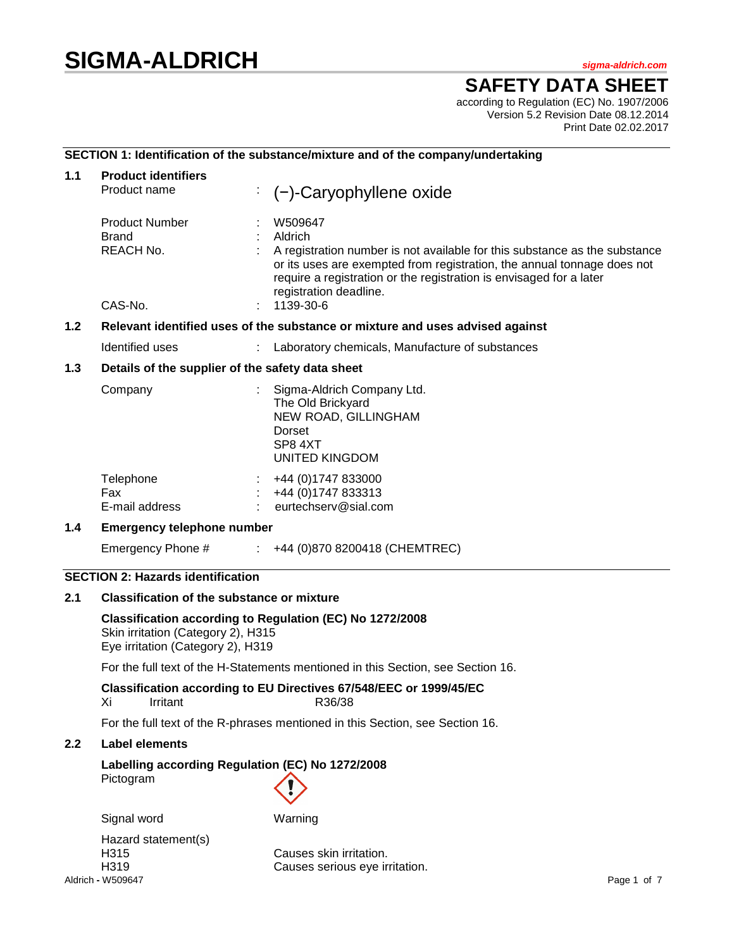# **SIGMA-ALDRICH** *sigma-aldrich.com*

## **SAFETY DATA SHEET**

according to Regulation (EC) No. 1907/2006 Version 5.2 Revision Date 08.12.2014 Print Date 02.02.2017

## **SECTION 1: Identification of the substance/mixture and of the company/undertaking**

| 1.1   | <b>Product identifiers</b><br>Product name                                                                                          |    | $(-)$ -Caryophyllene oxide                                                                                                                                                                                                                                                   |
|-------|-------------------------------------------------------------------------------------------------------------------------------------|----|------------------------------------------------------------------------------------------------------------------------------------------------------------------------------------------------------------------------------------------------------------------------------|
|       | <b>Product Number</b><br><b>Brand</b><br>REACH No.                                                                                  |    | W509647<br>Aldrich<br>A registration number is not available for this substance as the substance<br>or its uses are exempted from registration, the annual tonnage does not<br>require a registration or the registration is envisaged for a later<br>registration deadline. |
|       | CAS-No.                                                                                                                             |    | 1139-30-6                                                                                                                                                                                                                                                                    |
| $1.2$ |                                                                                                                                     |    | Relevant identified uses of the substance or mixture and uses advised against                                                                                                                                                                                                |
|       | Identified uses                                                                                                                     |    | Laboratory chemicals, Manufacture of substances                                                                                                                                                                                                                              |
| 1.3   | Details of the supplier of the safety data sheet<br>Company                                                                         |    | Sigma-Aldrich Company Ltd.<br>The Old Brickyard<br>NEW ROAD, GILLINGHAM<br>Dorset<br>SP8 4XT<br><b>UNITED KINGDOM</b>                                                                                                                                                        |
|       | Telephone<br>Fax<br>E-mail address                                                                                                  | ÷. | +44 (0) 1747 833000<br>+44 (0) 1747 833313<br>eurtechserv@sial.com                                                                                                                                                                                                           |
| 1.4   | <b>Emergency telephone number</b>                                                                                                   |    |                                                                                                                                                                                                                                                                              |
|       | Emergency Phone #                                                                                                                   |    | $\div$ +44 (0)870 8200418 (CHEMTREC)                                                                                                                                                                                                                                         |
|       | <b>SECTION 2: Hazards identification</b>                                                                                            |    |                                                                                                                                                                                                                                                                              |
| 2.1   | <b>Classification of the substance or mixture</b>                                                                                   |    |                                                                                                                                                                                                                                                                              |
|       | Classification according to Regulation (EC) No 1272/2008<br>Skin irritation (Category 2), H315<br>Eye irritation (Category 2), H319 |    |                                                                                                                                                                                                                                                                              |
|       |                                                                                                                                     |    | For the full text of the H-Statements mentioned in this Section, see Section 16.                                                                                                                                                                                             |
|       | Χı<br>Irritant                                                                                                                      |    | Classification according to EU Directives 67/548/EEC or 1999/45/EC<br>R36/38                                                                                                                                                                                                 |
|       |                                                                                                                                     |    | For the full text of the R-phrases mentioned in this Section, see Section 16.                                                                                                                                                                                                |
| 2.2   | <b>Label elements</b>                                                                                                               |    |                                                                                                                                                                                                                                                                              |
|       | Labelling according Regulation (EC) No 1272/2008<br>Pictogram                                                                       |    |                                                                                                                                                                                                                                                                              |

Signal word Warning

Aldrich **-** W509647 Page 1 of 7 Hazard statement(s)<br>H315

Causes skin irritation. H319 Causes serious eye irritation.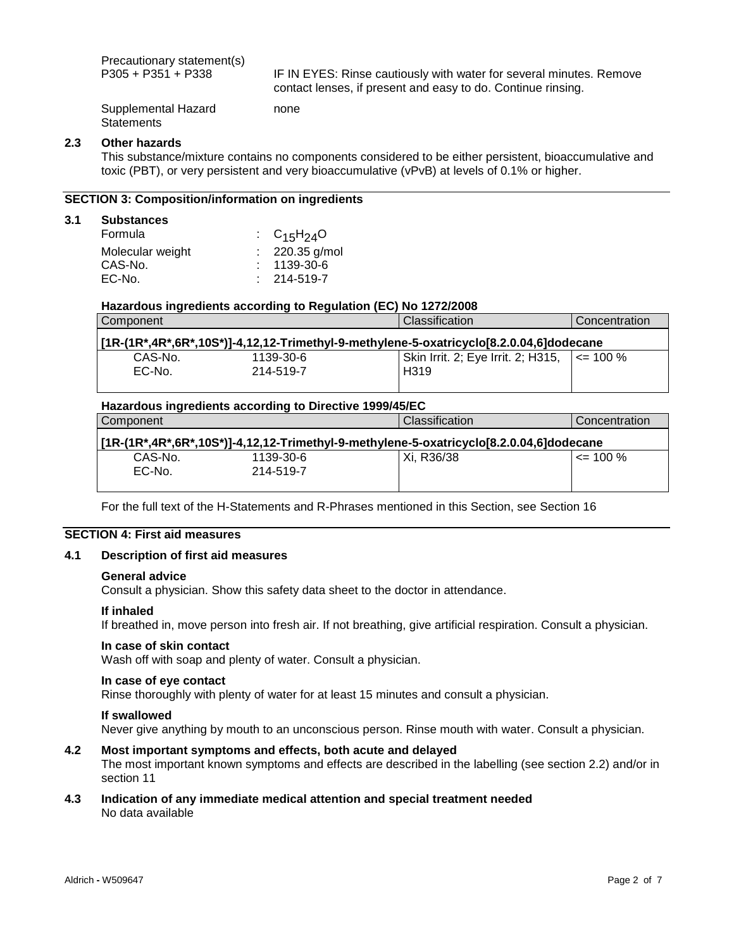Precautionary statement(s)<br>P305 + P351 + P338

IF IN EYES: Rinse cautiously with water for several minutes. Remove contact lenses, if present and easy to do. Continue rinsing.

Supplemental Hazard **Statements** 

#### **2.3 Other hazards**

This substance/mixture contains no components considered to be either persistent, bioaccumulative and toxic (PBT), or very persistent and very bioaccumulative (vPvB) at levels of 0.1% or higher.

## **SECTION 3: Composition/information on ingredients**

#### **3.1 Substances**

| $\therefore$ C <sub>15</sub> H <sub>24</sub> O |
|------------------------------------------------|
| $: 220.35$ g/mol                               |
| $: 1139-30-6$                                  |
| $: 214 - 519 - 7$                              |
|                                                |

## **Hazardous ingredients according to Regulation (EC) No 1272/2008**

none

| l Classification<br>Component                                                           | Concentration |
|-----------------------------------------------------------------------------------------|---------------|
| [1R-(1R*,4R*,6R*,10S*)]-4,12,12-Trimethyl-9-methylene-5-oxatricyclo[8.2.0.04,6]dodecane |               |
| Skin Irrit. 2; Eye Irrit. 2; H315,   <= 100 %<br>CAS-No.<br>1139-30-6                   |               |
| $EC-No$<br>H <sub>3</sub> 19<br>214-519-7                                               |               |

## **Hazardous ingredients according to Directive 1999/45/EC** Component Component Classification Component Component Component Component Component Component Component Compo

|         |           | [1R-(1R*,4R*,6R*,10S*)]-4,12,12-Trimethyl-9-methylene-5-oxatricyclo[8.2.0.04,6]dodecane |              |
|---------|-----------|-----------------------------------------------------------------------------------------|--------------|
| CAS-No. | 1139-30-6 | Xi. R36/38                                                                              | $\leq$ 100 % |
| EC-No.  | 214-519-7 |                                                                                         |              |

For the full text of the H-Statements and R-Phrases mentioned in this Section, see Section 16

## **SECTION 4: First aid measures**

#### **4.1 Description of first aid measures**

#### **General advice**

Consult a physician. Show this safety data sheet to the doctor in attendance.

#### **If inhaled**

If breathed in, move person into fresh air. If not breathing, give artificial respiration. Consult a physician.

#### **In case of skin contact**

Wash off with soap and plenty of water. Consult a physician.

#### **In case of eye contact**

Rinse thoroughly with plenty of water for at least 15 minutes and consult a physician.

#### **If swallowed**

Never give anything by mouth to an unconscious person. Rinse mouth with water. Consult a physician.

## **4.2 Most important symptoms and effects, both acute and delayed**

The most important known symptoms and effects are described in the labelling (see section 2.2) and/or in section 11

#### **4.3 Indication of any immediate medical attention and special treatment needed** No data available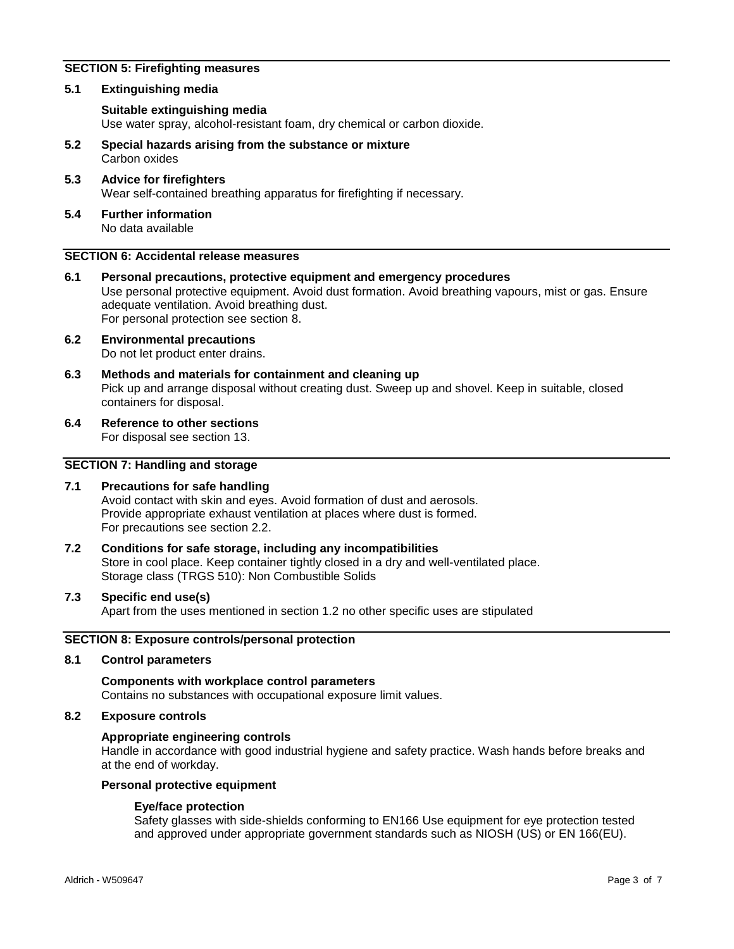## **SECTION 5: Firefighting measures**

#### **5.1 Extinguishing media**

#### **Suitable extinguishing media**

Use water spray, alcohol-resistant foam, dry chemical or carbon dioxide.

- **5.2 Special hazards arising from the substance or mixture** Carbon oxides
- **5.3 Advice for firefighters** Wear self-contained breathing apparatus for firefighting if necessary.
- **5.4 Further information** No data available

## **SECTION 6: Accidental release measures**

- **6.1 Personal precautions, protective equipment and emergency procedures** Use personal protective equipment. Avoid dust formation. Avoid breathing vapours, mist or gas. Ensure adequate ventilation. Avoid breathing dust. For personal protection see section 8.
- **6.2 Environmental precautions** Do not let product enter drains.
- **6.3 Methods and materials for containment and cleaning up** Pick up and arrange disposal without creating dust. Sweep up and shovel. Keep in suitable, closed containers for disposal.
- **6.4 Reference to other sections**

For disposal see section 13.

## **SECTION 7: Handling and storage**

#### **7.1 Precautions for safe handling**

Avoid contact with skin and eyes. Avoid formation of dust and aerosols. Provide appropriate exhaust ventilation at places where dust is formed. For precautions see section 2.2.

**7.2 Conditions for safe storage, including any incompatibilities** Store in cool place. Keep container tightly closed in a dry and well-ventilated place. Storage class (TRGS 510): Non Combustible Solids

#### **7.3 Specific end use(s)**

Apart from the uses mentioned in section 1.2 no other specific uses are stipulated

#### **SECTION 8: Exposure controls/personal protection**

#### **8.1 Control parameters**

### **Components with workplace control parameters** Contains no substances with occupational exposure limit values.

#### **8.2 Exposure controls**

## **Appropriate engineering controls**

Handle in accordance with good industrial hygiene and safety practice. Wash hands before breaks and at the end of workday.

#### **Personal protective equipment**

#### **Eye/face protection**

Safety glasses with side-shields conforming to EN166 Use equipment for eye protection tested and approved under appropriate government standards such as NIOSH (US) or EN 166(EU).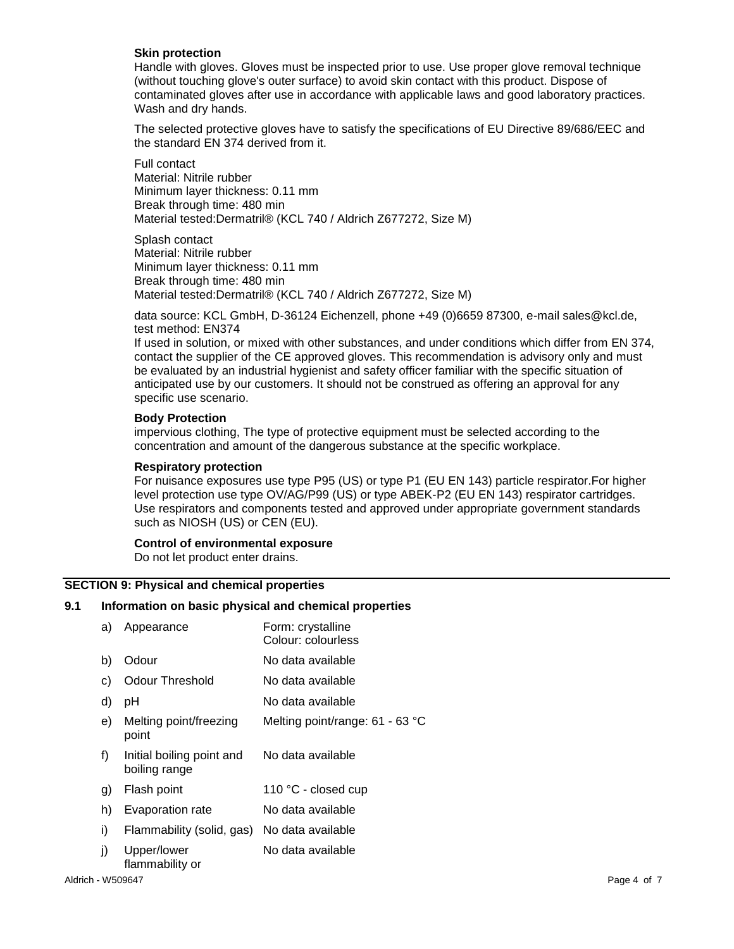#### **Skin protection**

Handle with gloves. Gloves must be inspected prior to use. Use proper glove removal technique (without touching glove's outer surface) to avoid skin contact with this product. Dispose of contaminated gloves after use in accordance with applicable laws and good laboratory practices. Wash and dry hands.

The selected protective gloves have to satisfy the specifications of EU Directive 89/686/EEC and the standard EN 374 derived from it.

Full contact Material: Nitrile rubber Minimum layer thickness: 0.11 mm Break through time: 480 min Material tested:Dermatril® (KCL 740 / Aldrich Z677272, Size M)

Splash contact Material: Nitrile rubber Minimum layer thickness: 0.11 mm Break through time: 480 min Material tested:Dermatril® (KCL 740 / Aldrich Z677272, Size M)

data source: KCL GmbH, D-36124 Eichenzell, phone +49 (0)6659 87300, e-mail sales@kcl.de, test method: EN374

If used in solution, or mixed with other substances, and under conditions which differ from EN 374, contact the supplier of the CE approved gloves. This recommendation is advisory only and must be evaluated by an industrial hygienist and safety officer familiar with the specific situation of anticipated use by our customers. It should not be construed as offering an approval for any specific use scenario.

#### **Body Protection**

impervious clothing, The type of protective equipment must be selected according to the concentration and amount of the dangerous substance at the specific workplace.

#### **Respiratory protection**

For nuisance exposures use type P95 (US) or type P1 (EU EN 143) particle respirator.For higher level protection use type OV/AG/P99 (US) or type ABEK-P2 (EU EN 143) respirator cartridges. Use respirators and components tested and approved under appropriate government standards such as NIOSH (US) or CEN (EU).

#### **Control of environmental exposure**

Do not let product enter drains.

#### **SECTION 9: Physical and chemical properties**

#### **9.1 Information on basic physical and chemical properties**

| a) | Appearance                                 | Form: crystalline<br>Colour: colourless |
|----|--------------------------------------------|-----------------------------------------|
| b) | Odour                                      | No data available                       |
| C) | <b>Odour Threshold</b>                     | No data available                       |
| d) | рH                                         | No data available                       |
| e) | Melting point/freezing<br>point            | Melting point/range: 61 - 63 °C         |
| f) | Initial boiling point and<br>boiling range | No data available                       |
| g) | Flash point                                | 110 °C - closed cup                     |
| h) | Evaporation rate                           | No data available                       |
| i) | Flammability (solid, gas)                  | No data available                       |
| j) | Upper/lower<br>flammability or             | No data available                       |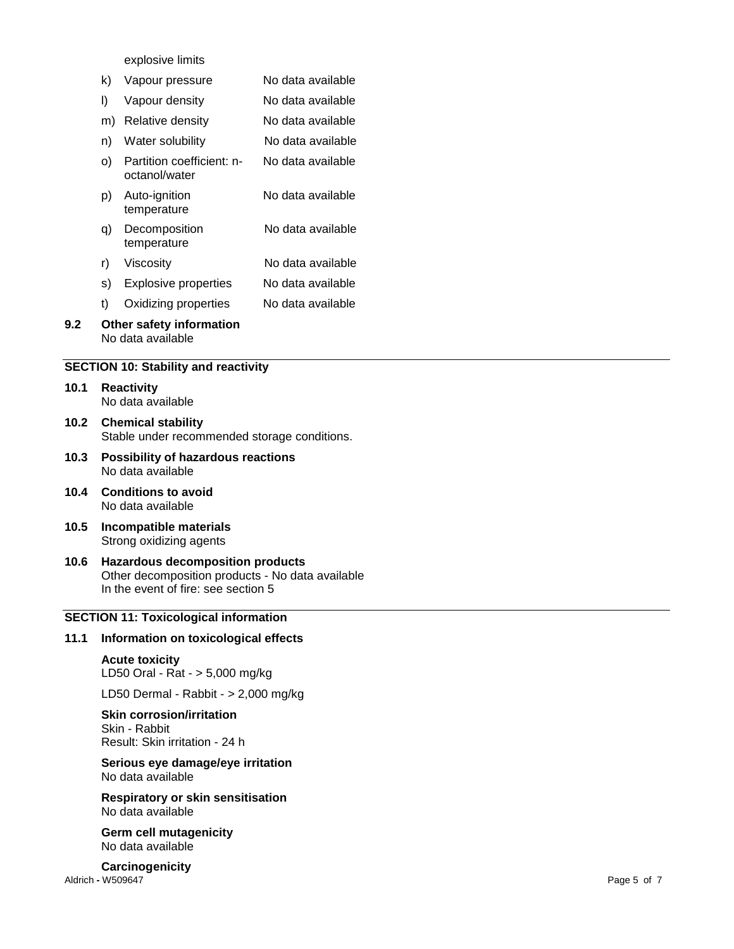explosive limits

| k) |  | Vapour pressure | No data available |
|----|--|-----------------|-------------------|
|----|--|-----------------|-------------------|

- l) Vapour density No data available
- m) Relative density No data available
- n) Water solubility No data available
- o) Partition coefficient: n octanol/water No data available
- p) Auto -ignition temperature No data available
- q) Decomposition temperature No data available
- r) Viscosity No data available
- s) Explosive properties No data available
- t) Oxidizing properties No data available
- **9.2 Other safety information** No data available

## **SECTION 10: Stability and reactivity**

| 10.1 | <b>Reactivity</b> |  |
|------|-------------------|--|
|      | No data available |  |

- **10.2 Chemical stability** Stable under recommended storage conditions.
- **10.3 Possibility of hazardous reactions** No data available
- **10.4 Conditions to avoid** No data available
- **10.5 Incompatible materials** Strong oxidizing agents
- **10.6 Hazardous decomposition products** Other decomposition products - No data available In the event of fire: see section 5

## **SECTION 11: Toxicological information**

## **11.1 Information on toxicological effects**

## **Acute toxicity**

LD50 Oral - Rat - > 5,000 mg/kg

LD50 Dermal - Rabbit - > 2,000 mg/kg

## **Skin corrosion/irritation**

Skin - Rabbit Result: Skin irritation - 24 h

## **Serious eye damage/eye irritation** No data available

**Respiratory or skin sensitisation** No data available

**Germ cell mutagenicity** No data available

Aldrich - W509647 **-** W509647 Page **Carcinogenicity**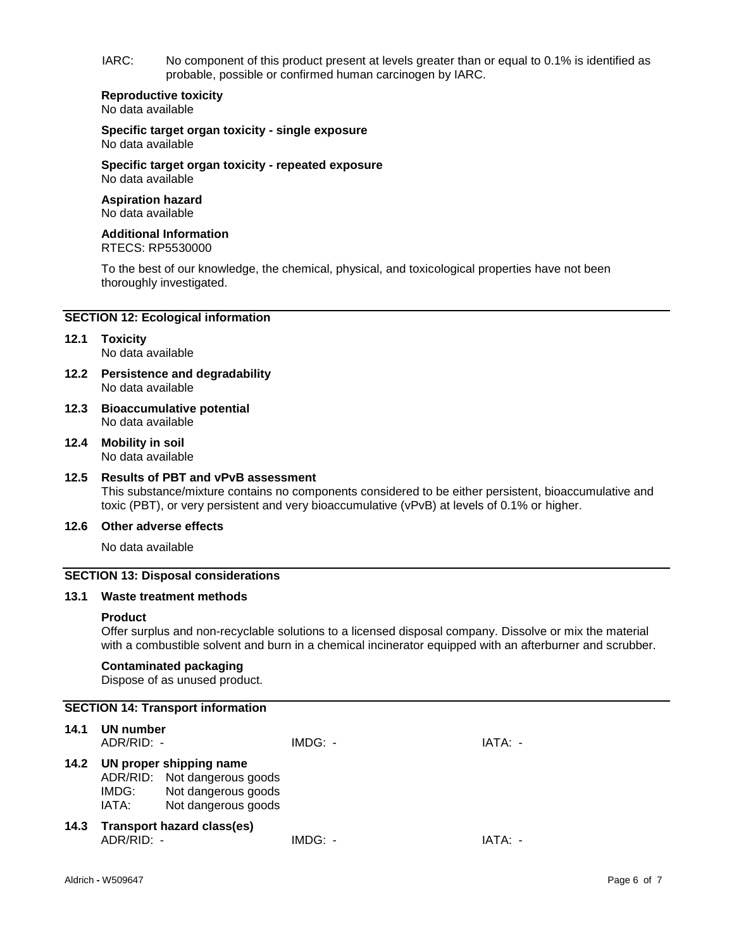IARC: No component of this product present at levels greater than or equal to 0.1% is identified as probable, possible or confirmed human carcinogen by IARC.

#### **Reproductive toxicity** No data available

**Specific target organ toxicity - single exposure** No data available

**Specific target organ toxicity - repeated exposure** No data available

#### **Aspiration hazard** No data available

#### **Additional Information** RTECS: RP5530000

To the best of our knowledge, the chemical, physical, and toxicological properties have not been thoroughly investigated.

## **SECTION 12: Ecological information**

#### **12.1 Toxicity** No data available

- **12.2 Persistence and degradability** No data available
- **12.3 Bioaccumulative potential** No data available
- **12.4 Mobility in soil** No data available

## **12.5 Results of PBT and vPvB assessment**

This substance/mixture contains no components considered to be either persistent, bioaccumulative and toxic (PBT), or very persistent and very bioaccumulative (vPvB) at levels of 0.1% or higher.

## **12.6 Other adverse effects**

No data available

#### **SECTION 13: Disposal considerations**

#### **13.1 Waste treatment methods**

#### **Product**

Offer surplus and non-recyclable solutions to a licensed disposal company. Dissolve or mix the material with a combustible solvent and burn in a chemical incinerator equipped with an afterburner and scrubber.

## **Contaminated packaging**

Dispose of as unused product.

## **SECTION 14: Transport information**

| 14.1 | UN number<br>ADR/RID: - |                                                                                                       | IMDG: - | IATA: - |
|------|-------------------------|-------------------------------------------------------------------------------------------------------|---------|---------|
| 14.2 | IMDG:<br>IATA:          | UN proper shipping name<br>ADR/RID: Not dangerous goods<br>Not dangerous goods<br>Not dangerous goods |         |         |
| 14.3 | $ADR/RID: -$            | <b>Transport hazard class(es)</b>                                                                     | IMDG: - | IATA: - |